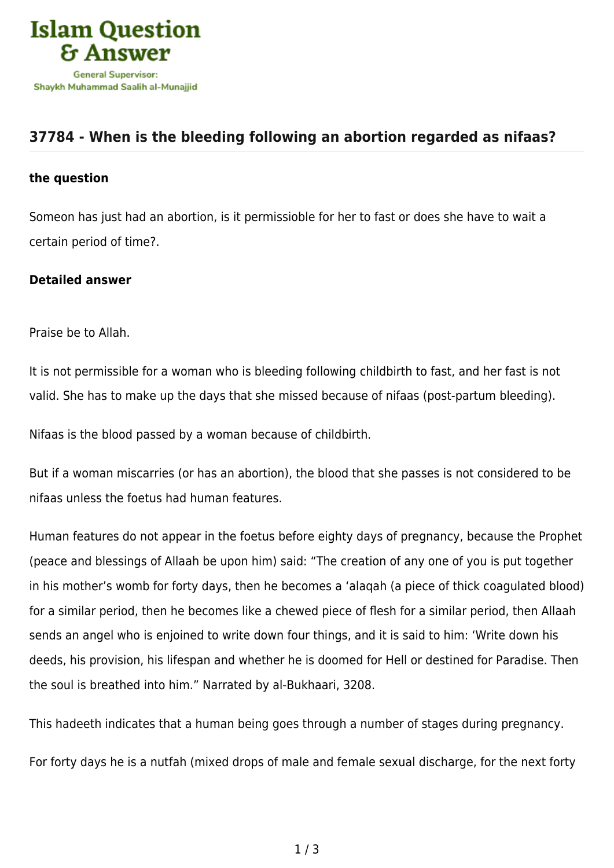

## **[37784 - When is the bleeding following an abortion regarded as nifaas?](https://islamqa.com/en/answers/37784/when-is-the-bleeding-following-an-abortion-regarded-as-nifaas)**

## **the question**

Someon has just had an abortion, is it permissioble for her to fast or does she have to wait a certain period of time?.

## **Detailed answer**

Praise be to Allah.

It is not permissible for a woman who is bleeding following childbirth to fast, and her fast is not valid. She has to make up the days that she missed because of nifaas (post-partum bleeding).

Nifaas is the blood passed by a woman because of childbirth.

But if a woman miscarries (or has an abortion), the blood that she passes is not considered to be nifaas unless the foetus had human features.

Human features do not appear in the foetus before eighty days of pregnancy, because the Prophet (peace and blessings of Allaah be upon him) said: "The creation of any one of you is put together in his mother's womb for forty days, then he becomes a 'alaqah (a piece of thick coagulated blood) for a similar period, then he becomes like a chewed piece of flesh for a similar period, then Allaah sends an angel who is enjoined to write down four things, and it is said to him: 'Write down his deeds, his provision, his lifespan and whether he is doomed for Hell or destined for Paradise. Then the soul is breathed into him." Narrated by al-Bukhaari, 3208.

This hadeeth indicates that a human being goes through a number of stages during pregnancy.

For forty days he is a nutfah (mixed drops of male and female sexual discharge, for the next forty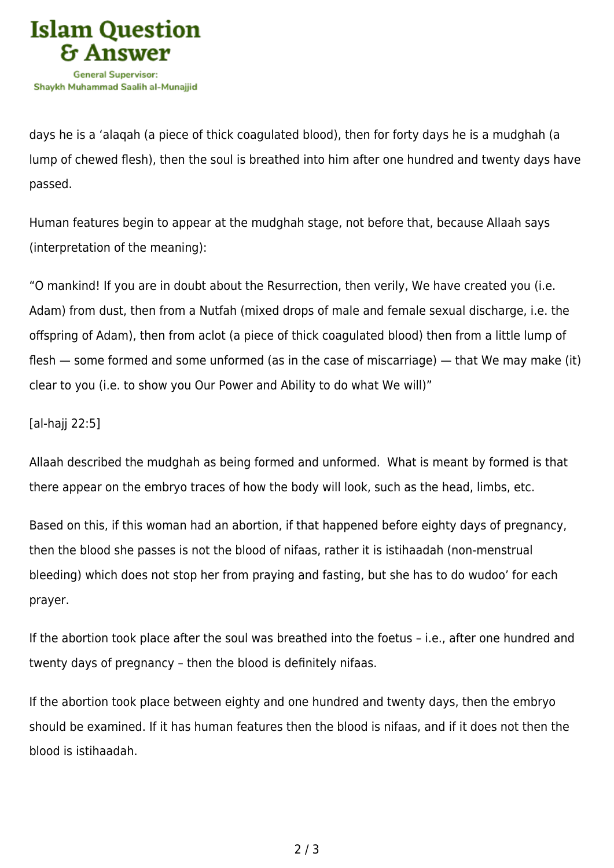

days he is a 'alaqah (a piece of thick coagulated blood), then for forty days he is a mudghah (a lump of chewed flesh), then the soul is breathed into him after one hundred and twenty days have passed.

Human features begin to appear at the mudghah stage, not before that, because Allaah says (interpretation of the meaning):

"O mankind! If you are in doubt about the Resurrection, then verily, We have created you (i.e. Adam) from dust, then from a Nutfah (mixed drops of male and female sexual discharge, i.e. the offspring of Adam), then from aclot (a piece of thick coagulated blood) then from a little lump of flesh — some formed and some unformed (as in the case of miscarriage) — that We may make (it) clear to you (i.e. to show you Our Power and Ability to do what We will)"

## [al-hajj 22:5]

Allaah described the mudghah as being formed and unformed. What is meant by formed is that there appear on the embryo traces of how the body will look, such as the head, limbs, etc.

Based on this, if this woman had an abortion, if that happened before eighty days of pregnancy, then the blood she passes is not the blood of nifaas, rather it is istihaadah (non-menstrual bleeding) which does not stop her from praying and fasting, but she has to do wudoo' for each prayer.

If the abortion took place after the soul was breathed into the foetus – i.e., after one hundred and twenty days of pregnancy – then the blood is definitely nifaas.

If the abortion took place between eighty and one hundred and twenty days, then the embryo should be examined. If it has human features then the blood is nifaas, and if it does not then the blood is istihaadah.